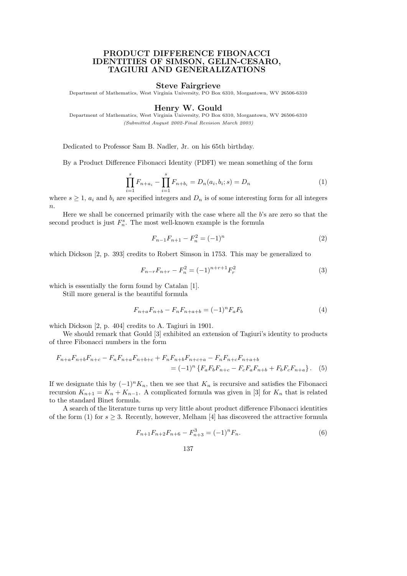# PRODUCT DIFFERENCE FIBONACCI IDENTITIES OF SIMSON, GELIN-CESARO, TAGIURI AND GENERALIZATIONS

#### Steve Fairgrieve

Department of Mathematics, West Virginia University, PO Box 6310, Morgantown, WV 26506-6310

### Henry W. Gould

Department of Mathematics, West Virginia University, PO Box 6310, Morgantown, WV 26506-6310 (Submitted August 2002-Final Revision March 2003)

Dedicated to Professor Sam B. Nadler, Jr. on his 65th birthday.

By a Product Difference Fibonacci Identity (PDFI) we mean something of the form

$$
\prod_{i=1}^{s} F_{n+a_i} - \prod_{i=1}^{s} F_{n+b_i} = D_n(a_i, b_i; s) = D_n
$$
\n(1)

where  $s \geq 1$ ,  $a_i$  and  $b_i$  are specified integers and  $D_n$  is of some interesting form for all integers  $n$ .

Here we shall be concerned primarily with the case where all the b's are zero so that the second product is just  $F_n^s$ . The most well-known example is the formula

$$
F_{n-1}F_{n+1} - F_n^2 = (-1)^n \tag{2}
$$

which Dickson [2, p. 393] credits to Robert Simson in 1753. This may be generalized to

$$
F_{n-r}F_{n+r} - F_n^2 = (-1)^{n+r+1}F_r^2
$$
\n(3)

which is essentially the form found by Catalan [1].

Still more general is the beautiful formula

$$
F_{n+a}F_{n+b} - F_nF_{n+a+b} = (-1)^n F_aF_b \tag{4}
$$

which Dickson [2, p. 404] credits to A. Tagiuri in 1901.

We should remark that Gould [3] exhibited an extension of Tagiuri's identity to products of three Fibonacci numbers in the form

$$
F_{n+a}F_{n+b}F_{n+c} - F_nF_{n+a}F_{n+b+c} + F_nF_{n+b}F_{n+c+a} - F_nF_{n+c}F_{n+a+b}
$$
  
=  $(-1)^n \{F_aF_bF_{n+c} - F_cF_aF_{n+b} + F_bF_cF_{n+a}\}.$  (5)

If we designate this by  $(-1)^n K_n$ , then we see that  $K_n$  is recursive and satisfies the Fibonacci recursion  $K_{n+1} = K_n + K_{n-1}$ . A complicated formula was given in [3] for  $K_n$  that is related to the standard Binet formula.

A search of the literature turns up very little about product difference Fibonacci identities of the form (1) for  $s \geq 3$ . Recently, however, Melham [4] has discovered the attractive formula

$$
F_{n+1}F_{n+2}F_{n+6} - F_{n+3}^3 = (-1)^n F_n.
$$
\n<sup>(6)</sup>

137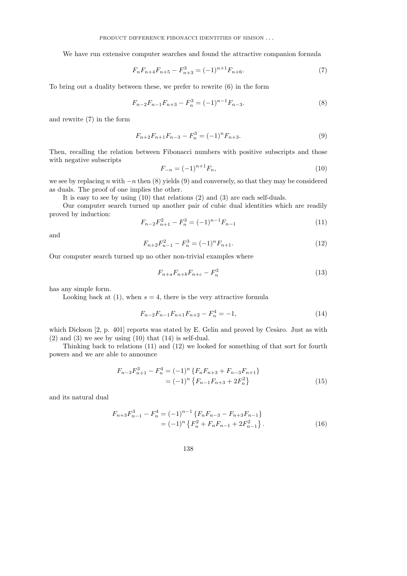We have run extensive computer searches and found the attractive companion formula

$$
F_n F_{n+4} F_{n+5} - F_{n+3}^3 = (-1)^{n+1} F_{n+6}.
$$
 (7)

To bring out a duality between these, we prefer to rewrite (6) in the form

$$
F_{n-2}F_{n-1}F_{n+3} - F_n^3 = (-1)^{n-1}F_{n-3}.
$$
\n(8)

and rewrite (7) in the form

$$
F_{n+2}F_{n+1}F_{n-3} - F_n^3 = (-1)^n F_{n+3}.
$$
\n(9)

Then, recalling the relation between Fibonacci numbers with positive subscripts and those with negative subscripts

$$
F_{-n} = (-1)^{n+1} F_n,\tag{10}
$$

we see by replacing n with  $-n$  then (8) yields (9) and conversely, so that they may be considered as duals. The proof of one implies the other.

It is easy to see by using (10) that relations (2) and (3) are each self-duals.

Our computer search turned up another pair of cubic dual identities which are readily proved by induction:

$$
F_{n-2}F_{n+1}^2 - F_n^3 = (-1)^{n-1}F_{n-1}
$$
\n(11)

and

$$
F_{n+2}F_{n-1}^2 - F_n^3 = (-1)^n F_{n+1}.
$$
\n(12)

Our computer search turned up no other non-trivial examples where

$$
F_{n+a}F_{n+b}F_{n+c} - F_n^3 \tag{13}
$$

has any simple form.

Looking back at (1), when  $s = 4$ , there is the very attractive formula

$$
F_{n-2}F_{n-1}F_{n+1}F_{n+2} - F_n^4 = -1,\t\t(14)
$$

which Dickson  $[2, p. 401]$  reports was stated by E. Gelin and proved by Cesàro. Just as with  $(2)$  and  $(3)$  we see by using  $(10)$  that  $(14)$  is self-dual.

Thinking back to relations (11) and (12) we looked for something of that sort for fourth powers and we are able to announce

$$
F_{n-3}F_{n+1}^3 - F_n^4 = (-1)^n \{ F_n F_{n+3} + F_{n-3} F_{n+1} \}
$$
  
= 
$$
(-1)^n \{ F_{n-1} F_{n+3} + 2F_n^2 \}
$$
 (15)

and its natural dual

$$
F_{n+3}F_{n-1}^3 - F_n^4 = (-1)^{n-1} \{ F_n F_{n-3} - F_{n+3} F_{n-1} \}
$$
  
=  $(-1)^n \{ F_n^2 + F_n F_{n-1} + 2F_{n-1}^2 \}.$  (16)

138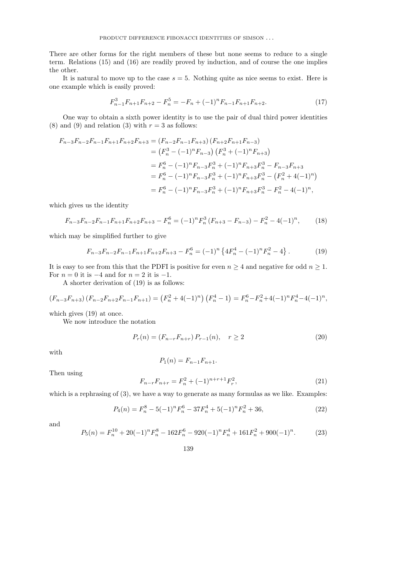There are other forms for the right members of these but none seems to reduce to a single term. Relations (15) and (16) are readily proved by induction, and of course the one implies the other.

It is natural to move up to the case  $s = 5$ . Nothing quite as nice seems to exist. Here is one example which is easily proved:

$$
F_{n-1}^3 F_{n+1} F_{n+2} - F_n^5 = -F_n + (-1)^n F_{n-1} F_{n+1} F_{n+2}.
$$
 (17)

One way to obtain a sixth power identity is to use the pair of dual third power identities (8) and (9) and relation (3) with  $r = 3$  as follows:

$$
F_{n-3}F_{n-2}F_{n-1}F_{n+1}F_{n+2}F_{n+3} = (F_{n-2}F_{n-1}F_{n+3})(F_{n+2}F_{n+1}F_{n-3})
$$
  
\n
$$
= (F_n^3 - (-1)^n F_{n-3})(F_n^3 + (-1)^n F_{n+3})
$$
  
\n
$$
= F_n^6 - (-1)^n F_{n-3}F_n^3 + (-1)^n F_{n+3}F_n^3 - F_{n-3}F_{n+3}
$$
  
\n
$$
= F_n^6 - (-1)^n F_{n-3}F_n^3 + (-1)^n F_{n+3}F_n^3 - (F_n^2 + 4(-1)^n)
$$
  
\n
$$
= F_n^6 - (-1)^n F_{n-3}F_n^3 + (-1)^n F_{n+3}F_n^3 - F_n^2 - 4(-1)^n,
$$

which gives us the identity

$$
F_{n-3}F_{n-2}F_{n-1}F_{n+1}F_{n+2}F_{n+3} - F_n^6 = (-1)^n F_n^3 (F_{n+3} - F_{n-3}) - F_n^2 - 4(-1)^n, \tag{18}
$$

which may be simplified further to give

$$
F_{n-3}F_{n-2}F_{n-1}F_{n+1}F_{n+2}F_{n+3} - F_n^6 = (-1)^n \left\{ 4F_n^4 - (-1)^n F_n^2 - 4 \right\}.
$$
 (19)

It is easy to see from this that the PDFI is positive for even  $n \geq 4$  and negative for odd  $n \geq 1$ . For  $n = 0$  it is  $-4$  and for  $n = 2$  it is  $-1$ .

A shorter derivation of (19) is as follows:

$$
(F_{n-3}F_{n+3})(F_{n-2}F_{n+2}F_{n-1}F_{n+1}) = (F_n^2 + 4(-1)^n) (F_n^4 - 1) = F_n^6 - F_n^2 + 4(-1)^n F_n^4 - 4(-1)^n,
$$

which gives (19) at once.

We now introduce the notation

$$
P_r(n) = (F_{n-r}F_{n+r})P_{r-1}(n), \quad r \ge 2
$$
\n(20)

with

$$
P_1(n) = F_{n-1}F_{n+1}.
$$

Then using

$$
F_{n-r}F_{n+r} = F_n^2 + (-1)^{n+r+1}F_r^2,\tag{21}
$$

which is a rephrasing of  $(3)$ , we have a way to generate as many formulas as we like. Examples:

$$
P_4(n) = F_n^8 - 5(-1)^n F_n^6 - 37F_n^4 + 5(-1)^n F_n^2 + 36,
$$
\n(22)

and

$$
P_5(n) = F_n^{10} + 20(-1)^n F_n^8 - 162F_n^6 - 920(-1)^n F_n^4 + 161F_n^2 + 900(-1)^n. \tag{23}
$$

139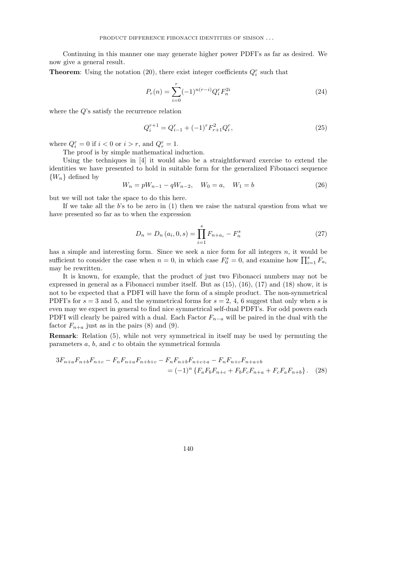Continuing in this manner one may generate higher power PDFI's as far as desired. We now give a general result.

**Theorem:** Using the notation (20), there exist integer coefficients  $Q_i^r$  such that

$$
P_r(n) = \sum_{i=0}^{r} (-1)^{n(r-i)} Q_i^r F_n^{2i}
$$
\n(24)

where the Q's satisfy the recurrence relation

$$
Q_i^{r+1} = Q_{i-1}^r + (-1)^r F_{r+1}^2 Q_i^r,
$$
\n(25)

where  $Q_i^r = 0$  if  $i < 0$  or  $i > r$ , and  $Q_r^r = 1$ .

The proof is by simple mathematical induction.

Using the techniques in [4] it would also be a straightforward exercise to extend the identities we have presented to hold in suitable form for the generalized Fibonacci sequence  ${W_n}$  defined by

$$
W_n = pW_{n-1} - qW_{n-2}, \quad W_0 = a, \quad W_1 = b \tag{26}
$$

but we will not take the space to do this here.

If we take all the b's to be zero in  $(1)$  then we raise the natural question from what we have presented so far as to when the expression

$$
D_n = D_n(a_i, 0, s) = \prod_{i=1}^s F_{n+a_i} - F_n^s
$$
 (27)

has a simple and interesting form. Since we seek a nice form for all integers  $n$ , it would be sufficient to consider the case when  $n = 0$ , in which case  $F_0^s = 0$ , and examine how  $\prod_{i=1}^s F_{a_i}$ may be rewritten.

It is known, for example, that the product of just two Fibonacci numbers may not be expressed in general as a Fibonacci number itself. But as (15), (16), (17) and (18) show, it is not to be expected that a PDFI will have the form of a simple product. The non-symmetrical PDFI's for  $s = 3$  and 5, and the symmetrical forms for  $s = 2, 4, 6$  suggest that only when s is even may we expect in general to find nice symmetrical self-dual PDFI's. For odd powers each PDFI will clearly be paired with a dual. Each Factor  $F_{n-a}$  will be paired in the dual with the factor  $F_{n+a}$  just as in the pairs (8) and (9).

Remark: Relation (5), while not very symmetrical in itself may be used by permuting the parameters a, b, and c to obtain the symmetrical formula

$$
3F_{n+a}F_{n+b}F_{n+c} - F_nF_{n+a}F_{n+b+c} - F_nF_{n+b}F_{n+c+a} - F_nF_{n+c}F_{n+a+b}
$$
  
=  $(-1)^n \{F_aF_bF_{n+c} + F_bF_cF_{n+a} + F_cF_aF_{n+b}\}.$  (28)

140